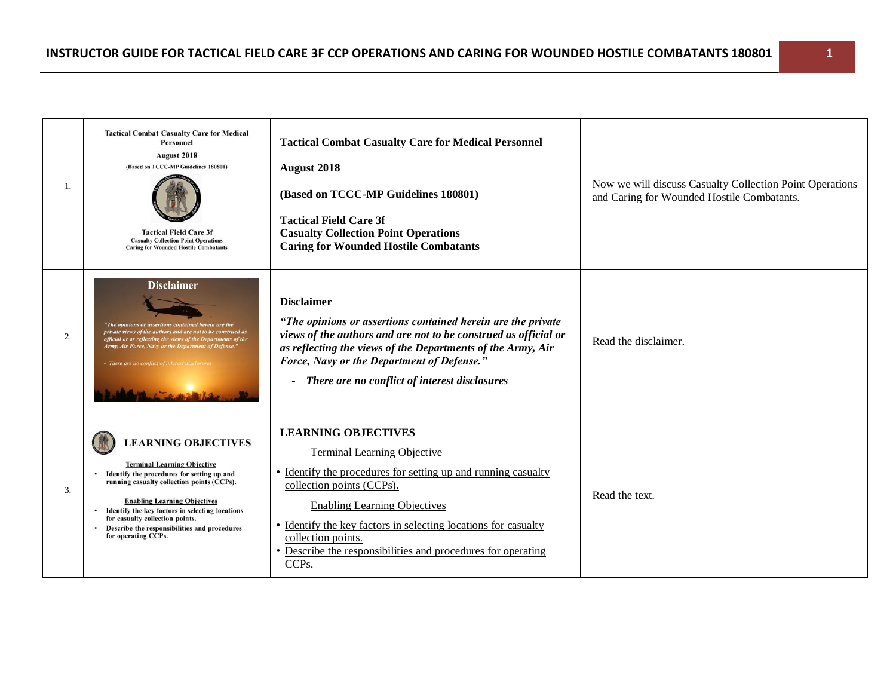| 1. | <b>Tactical Combat Casualty Care for Medical</b><br><b>Personnel</b><br>August 2018<br>(Based on TCCC-MP Guidelines 180801)<br><b>Tactical Field Care 3f</b><br><b>Casualty Collection Point Operations</b><br><b>Caring for Wounded Hostile Combatants</b>                                                                                                        | <b>Tactical Combat Casualty Care for Medical Personnel</b><br><b>August 2018</b><br>(Based on TCCC-MP Guidelines 180801)<br><b>Tactical Field Care 3f</b><br><b>Casualty Collection Point Operations</b><br><b>Caring for Wounded Hostile Combatants</b>                                                                                                                            | Now we will discuss Casualty Collection Point Operations<br>and Caring for Wounded Hostile Combatants. |
|----|--------------------------------------------------------------------------------------------------------------------------------------------------------------------------------------------------------------------------------------------------------------------------------------------------------------------------------------------------------------------|-------------------------------------------------------------------------------------------------------------------------------------------------------------------------------------------------------------------------------------------------------------------------------------------------------------------------------------------------------------------------------------|--------------------------------------------------------------------------------------------------------|
| 2. | <b>Disclaimer</b><br>"The opinions or assertions contained herein are the<br>private views of the authors and are not to be construed as<br>official or as reflecting the views of the Departments of the<br>Army, Air Force, Navy or the Department of Defense."<br>- There are no conflict of interest disclosure.                                               | <b>Disclaimer</b><br>"The opinions or assertions contained herein are the private<br>views of the authors and are not to be construed as official or<br>as reflecting the views of the Departments of the Army, Air<br>Force, Navy or the Department of Defense."<br>- There are no conflict of interest disclosures                                                                | Read the disclaimer.                                                                                   |
| 3. | <b>LEARNING OBJECTIVES</b><br><b>Terminal Learning Objective</b><br>Identify the procedures for setting up and<br>running casualty collection points (CCPs).<br><b>Enabling Learning Objectives</b><br>Identify the key factors in selecting locations<br>for casualty collection points.<br>• Describe the responsibilities and procedures<br>for operating CCPs. | <b>LEARNING OBJECTIVES</b><br><b>Terminal Learning Objective</b><br>• Identify the procedures for setting up and running casualty<br>collection points (CCPs).<br><b>Enabling Learning Objectives</b><br>• Identify the key factors in selecting locations for casualty<br>collection points.<br>• Describe the responsibilities and procedures for operating<br>CCP <sub>s</sub> . | Read the text.                                                                                         |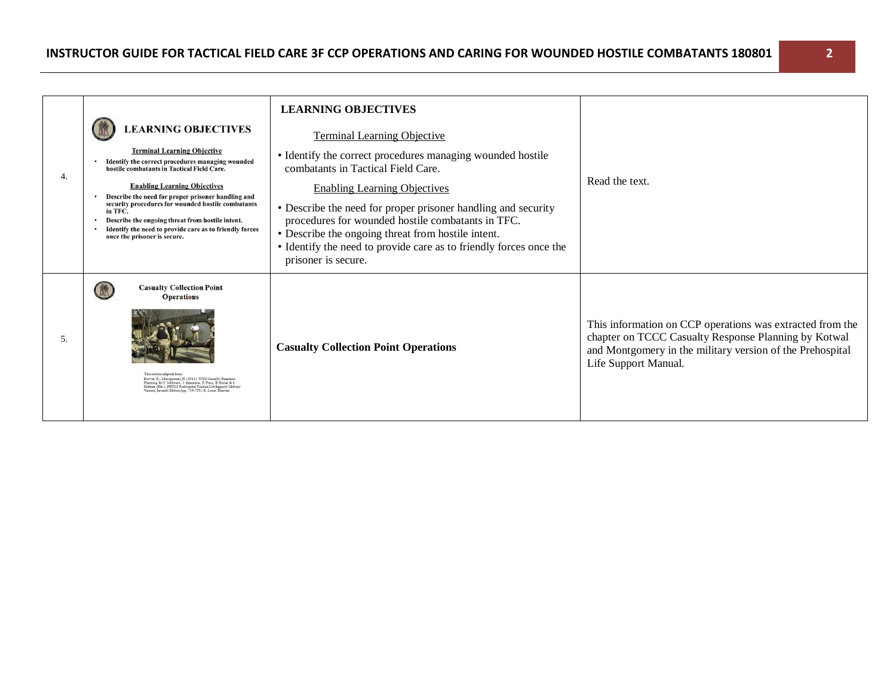| 4.  | <b>LEARNING OBJECTIVES</b><br><b>Terminal Learning Objective</b><br>Identify the correct procedures managing wounded<br>hostile combatants in Tactical Field Care.<br><b>Enabling Learning Objectives</b><br>Describe the need for proper prisoner handling and<br>security procedures for wounded hostile combatants<br>in TFC.<br>Describe the ongoing threat from hostile intent.<br>Identify the need to provide care as to friendly forces<br>once the prisoner is secure. | <b>LEARNING OBJECTIVES</b><br><b>Terminal Learning Objective</b><br>• Identify the correct procedures managing wounded hostile<br>combatants in Tactical Field Care.<br><b>Enabling Learning Objectives</b><br>• Describe the need for proper prisoner handling and security<br>procedures for wounded hostile combatants in TFC.<br>• Describe the ongoing threat from hostile intent.<br>• Identify the need to provide care as to friendly forces once the<br>prisoner is secure. | Read the text.                                                                                                                                                                                         |
|-----|---------------------------------------------------------------------------------------------------------------------------------------------------------------------------------------------------------------------------------------------------------------------------------------------------------------------------------------------------------------------------------------------------------------------------------------------------------------------------------|--------------------------------------------------------------------------------------------------------------------------------------------------------------------------------------------------------------------------------------------------------------------------------------------------------------------------------------------------------------------------------------------------------------------------------------------------------------------------------------|--------------------------------------------------------------------------------------------------------------------------------------------------------------------------------------------------------|
| .5. | <b>Casualty Collection Point</b><br><b>Operations</b><br>$\label{thm:Kotval} \begin{array}{ll} \mbox{Kotwal}, \mbox{R., Montgomsey}, \mbox{H. (2011). TCCC Causalty Response} \\ \mbox{Planning, In N. MeSwain, J. Salamons, P. Poas, B. Deller & S. G. \\ \mbox{Giberher (Eds.), PHTLS Prehospital Trans Life September}. \mbox{MISTary Verinor, Saventh Edition (pp.719-735). St. Louis: Elsevier. \\ \end{array}$                                                            | <b>Casualty Collection Point Operations</b>                                                                                                                                                                                                                                                                                                                                                                                                                                          | This information on CCP operations was extracted from the<br>chapter on TCCC Casualty Response Planning by Kotwal<br>and Montgomery in the military version of the Prehospital<br>Life Support Manual. |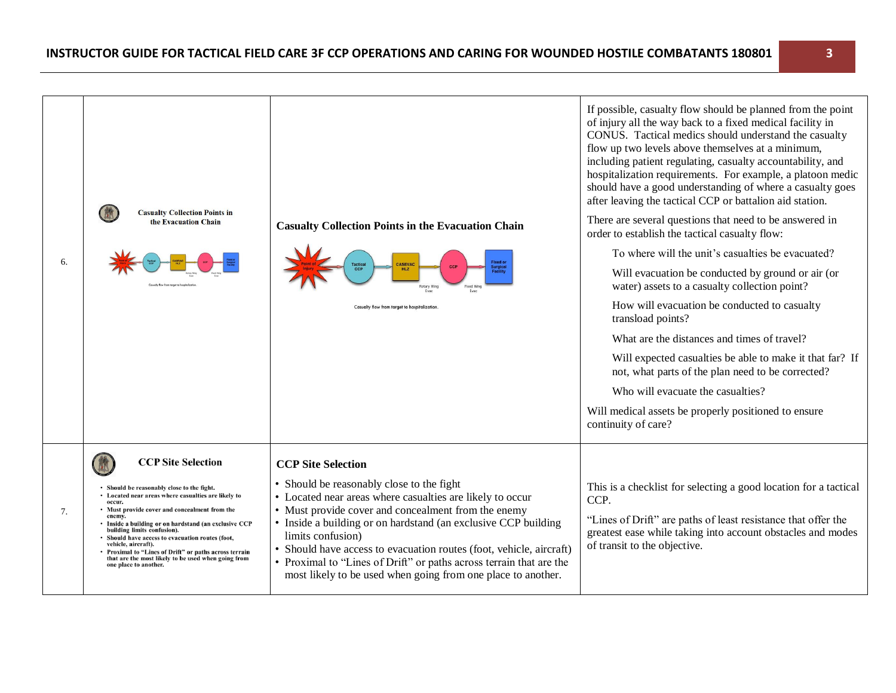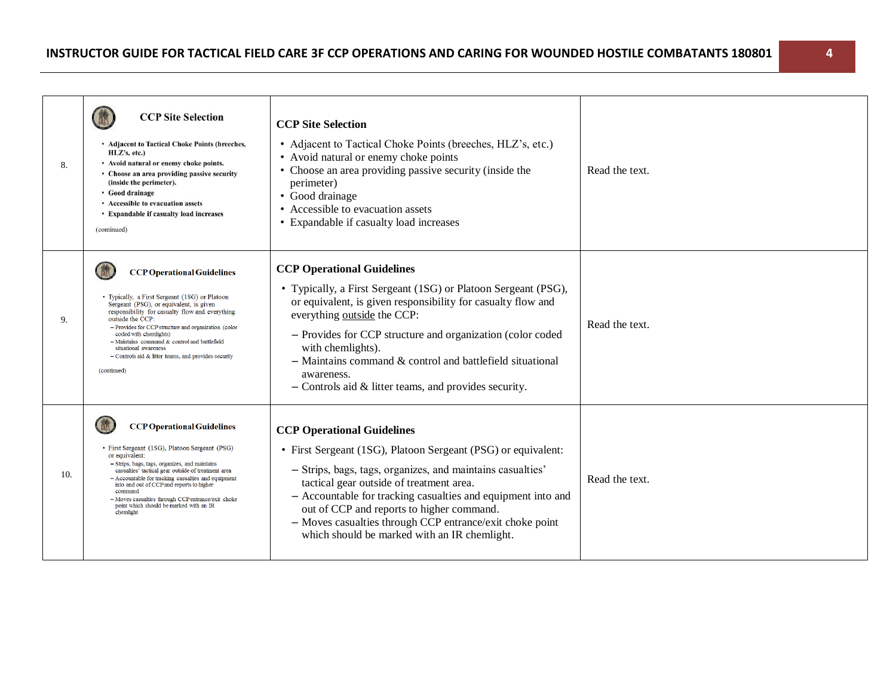| 8.  | <b>CCP Site Selection</b><br>• Adjacent to Tactical Choke Points (breeches,<br>$HLZ's$ , etc.)<br>• Avoid natural or enemy choke points.<br>• Choose an area providing passive security<br>(inside the perimeter).<br>• Good drainage<br>• Accessible to evacuation assets<br>• Expandable if casualty load increases<br>(continued)                                                                                                         | <b>CCP Site Selection</b><br>• Adjacent to Tactical Choke Points (breeches, HLZ's, etc.)<br>• Avoid natural or enemy choke points<br>• Choose an area providing passive security (inside the<br>perimeter)<br>• Good drainage<br>• Accessible to evacuation assets<br>• Expandable if casualty load increases                                                                                                                         | Read the text. |
|-----|----------------------------------------------------------------------------------------------------------------------------------------------------------------------------------------------------------------------------------------------------------------------------------------------------------------------------------------------------------------------------------------------------------------------------------------------|---------------------------------------------------------------------------------------------------------------------------------------------------------------------------------------------------------------------------------------------------------------------------------------------------------------------------------------------------------------------------------------------------------------------------------------|----------------|
| 9.  | <b>CCP Operational Guidelines</b><br>• Typically, a First Sergeant (1SG) or Platoon<br>Sergeant (PSG), or equivalent, is given<br>responsibility for casualty flow and everything<br>outside the CCP:<br>- Provides for CCP structure and organization (color<br>coded with chemlights)<br>$-$ Maintains command & control and battlefield<br>situational awareness<br>$-$ Controls aid & litter teams, and provides security<br>(continued) | <b>CCP Operational Guidelines</b><br>• Typically, a First Sergeant (1SG) or Platoon Sergeant (PSG),<br>or equivalent, is given responsibility for casualty flow and<br>everything outside the CCP:<br>- Provides for CCP structure and organization (color coded<br>with chemlights).<br>$-$ Maintains command $\&$ control and battlefield situational<br>awareness.<br>$-$ Controls aid $\&$ litter teams, and provides security.   | Read the text. |
| 10. | <b>CCP Operational Guidelines</b><br>• First Sergeant (1SG), Platoon Sergeant (PSG)<br>or equivalent:<br>- Strips, bags, tags, organizes, and maintains<br>casualties' tactical gear outside of treatment area<br>- Accountable for tracking casualties and equipment<br>into and out of CCP and reports to higher<br>command<br>- Moves casualties through CCP entrance/exit choke<br>point which should be marked with an IR<br>chemlight  | <b>CCP Operational Guidelines</b><br>• First Sergeant (1SG), Platoon Sergeant (PSG) or equivalent:<br>- Strips, bags, tags, organizes, and maintains casualties'<br>tactical gear outside of treatment area.<br>- Accountable for tracking casualties and equipment into and<br>out of CCP and reports to higher command.<br>- Moves casualties through CCP entrance/exit choke point<br>which should be marked with an IR chemlight. | Read the text. |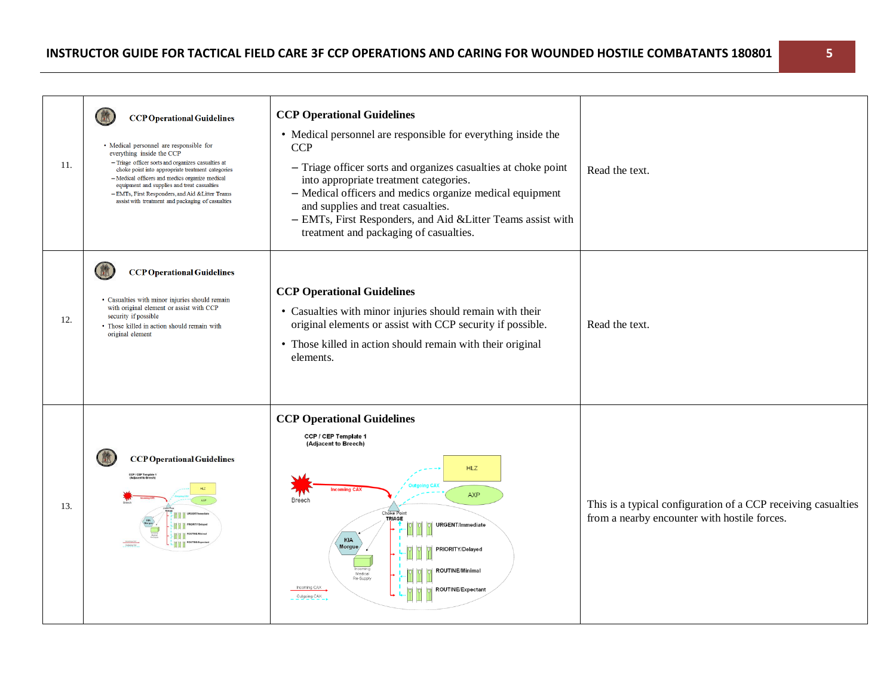| 11. | <b>CCP Operational Guidelines</b><br>• Medical personnel are responsible for<br>everything inside the CCP<br>- Triage officer sorts and organizes casualties at<br>choke point into appropriate treatment categories<br>- Medical officers and medics organize medical<br>equipment and supplies and treat casualties<br>-EMTs, First Responders, and Aid & Litter Teams<br>assist with treatment and packaging of casualties | <b>CCP Operational Guidelines</b><br>• Medical personnel are responsible for everything inside the<br><b>CCP</b><br>- Triage officer sorts and organizes casualties at choke point<br>into appropriate treatment categories.<br>- Medical officers and medics organize medical equipment<br>and supplies and treat casualties.<br>- EMTs, First Responders, and Aid & Litter Teams assist with<br>treatment and packaging of casualties. | Read the text.                                                                                                |
|-----|-------------------------------------------------------------------------------------------------------------------------------------------------------------------------------------------------------------------------------------------------------------------------------------------------------------------------------------------------------------------------------------------------------------------------------|------------------------------------------------------------------------------------------------------------------------------------------------------------------------------------------------------------------------------------------------------------------------------------------------------------------------------------------------------------------------------------------------------------------------------------------|---------------------------------------------------------------------------------------------------------------|
| 12. | <b>CCP Operational Guidelines</b><br>• Casualties with minor injuries should remain<br>with original element or assist with CCP<br>security if possible<br>• Those killed in action should remain with<br>original element                                                                                                                                                                                                    | <b>CCP Operational Guidelines</b><br>• Casualties with minor injuries should remain with their<br>original elements or assist with CCP security if possible.<br>• Those killed in action should remain with their original<br>elements.                                                                                                                                                                                                  | Read the text.                                                                                                |
| 13. | <b>CCP Operational Guidelines</b><br><b>CCP / CEP Template</b><br>(Adjacent to Breech)                                                                                                                                                                                                                                                                                                                                        | <b>CCP Operational Guidelines</b><br>CCP / CEP Template 1<br>(Adjacent to Breech)<br><b>HLZ</b><br><b>AXP</b><br>Breech<br>Choke Point<br>TRIAGE<br>URGENT/Immediate<br>KIA<br><b>Morgue</b><br>PRIORITY/Delayed<br><b>ROUTINE/Minimal</b><br>Medica<br>Re-Supph<br>Incoming CAX<br><b>OUTINE/Expectan</b><br>Outgoing CAX                                                                                                               | This is a typical configuration of a CCP receiving casualties<br>from a nearby encounter with hostile forces. |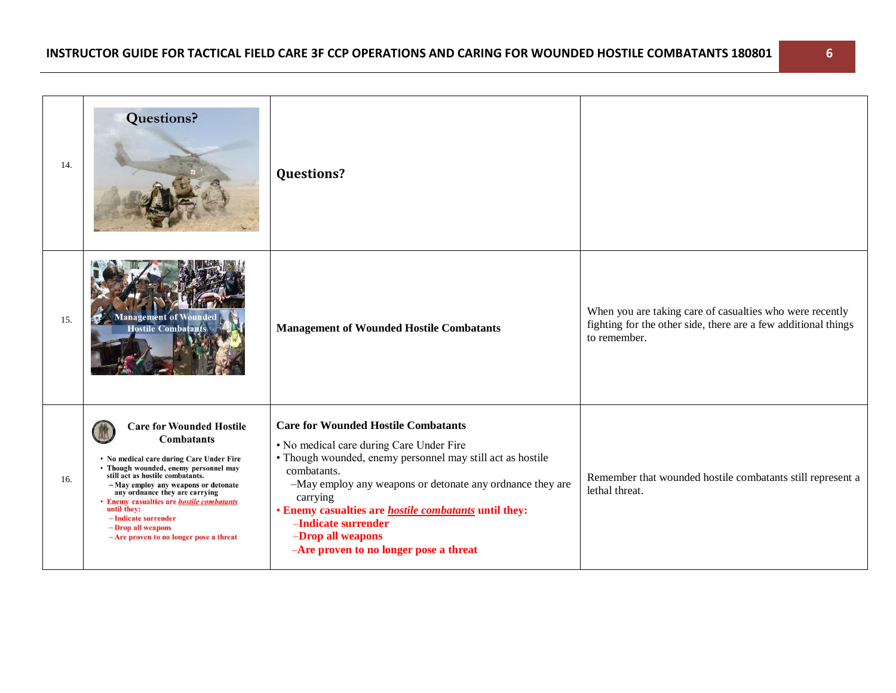| 14. | <b>Questions?</b>                                                                                                                                                                                                                                                                                                                                                                                                 | <b>Questions?</b>                                                                                                                                                                                                                                                                                                                                                                                  |                                                                                                                                            |
|-----|-------------------------------------------------------------------------------------------------------------------------------------------------------------------------------------------------------------------------------------------------------------------------------------------------------------------------------------------------------------------------------------------------------------------|----------------------------------------------------------------------------------------------------------------------------------------------------------------------------------------------------------------------------------------------------------------------------------------------------------------------------------------------------------------------------------------------------|--------------------------------------------------------------------------------------------------------------------------------------------|
| 15. | lanagement of                                                                                                                                                                                                                                                                                                                                                                                                     | <b>Management of Wounded Hostile Combatants</b>                                                                                                                                                                                                                                                                                                                                                    | When you are taking care of casualties who were recently<br>fighting for the other side, there are a few additional things<br>to remember. |
| 16. | <b>Care for Wounded Hostile</b><br><b>Combatants</b><br>• No medical care during Care Under Fire<br>• Though wounded, enemy personnel may<br>still act as hostile combatants.<br>-May employ any weapons or detonate<br>any ordnance they are carrying<br>• Enemy casualties are <i>hostile combatants</i><br>until they:<br>-Indicate surrender<br>-Drop all weapons<br>$-Are$ proven to no longer pose a threat | <b>Care for Wounded Hostile Combatants</b><br>• No medical care during Care Under Fire<br>• Though wounded, enemy personnel may still act as hostile<br>combatants.<br>-May employ any weapons or detonate any ordnance they are<br>carrying<br>• Enemy casualties are <i>hostile combatants</i> until they:<br>-Indicate surrender<br>-Drop all weapons<br>-Are proven to no longer pose a threat | Remember that wounded hostile combatants still represent a<br>lethal threat.                                                               |